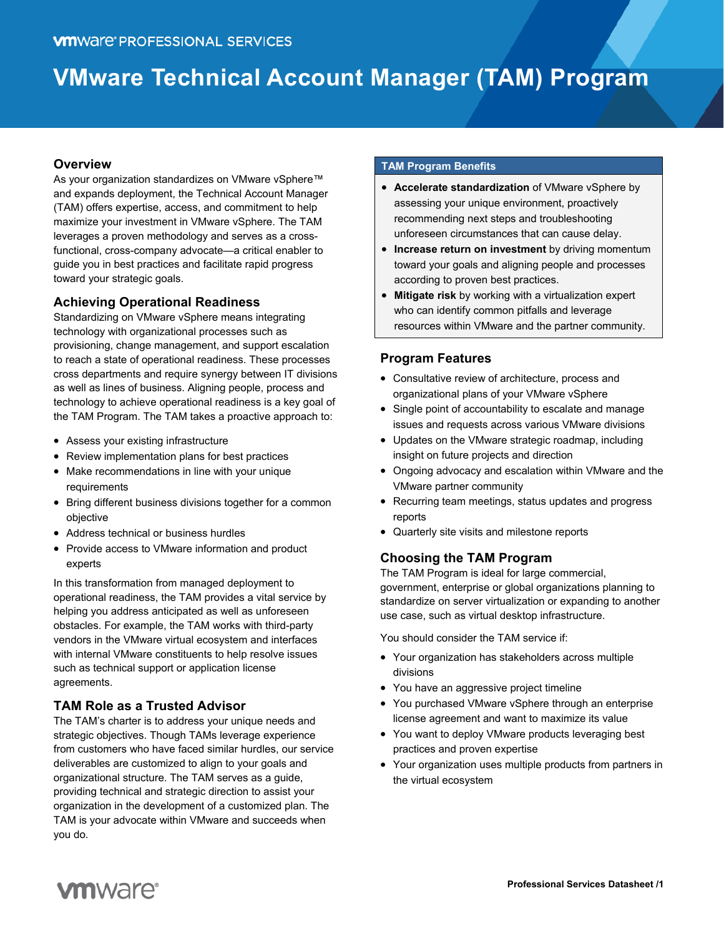# **VMware Technical Account Manager (TAM) Program**

## **Overview**

As your organization standardizes on VMware vSphere™ and expands deployment, the Technical Account Manager (TAM) offers expertise, access, and commitment to help maximize your investment in VMware vSphere. The TAM leverages a proven methodology and serves as a crossfunctional, cross-company advocate—a critical enabler to guide you in best practices and facilitate rapid progress toward your strategic goals.

# **Achieving Operational Readiness**

Standardizing on VMware vSphere means integrating technology with organizational processes such as provisioning, change management, and support escalation to reach a state of operational readiness. These processes cross departments and require synergy between IT divisions as well as lines of business. Aligning people, process and technology to achieve operational readiness is a key goal of the TAM Program. The TAM takes a proactive approach to:

- Assess your existing infrastructure
- Review implementation plans for best practices
- Make recommendations in line with your unique requirements
- Bring different business divisions together for a common objective
- Address technical or business hurdles
- Provide access to VMware information and product experts

In this transformation from managed deployment to operational readiness, the TAM provides a vital service by helping you address anticipated as well as unforeseen obstacles. For example, the TAM works with third-party vendors in the VMware virtual ecosystem and interfaces with internal VMware constituents to help resolve issues such as technical support or application license agreements.

# **TAM Role as a Trusted Advisor**

The TAM's charter is to address your unique needs and strategic objectives. Though TAMs leverage experience from customers who have faced similar hurdles, our service deliverables are customized to align to your goals and organizational structure. The TAM serves as a guide, providing technical and strategic direction to assist your organization in the development of a customized plan. The TAM is your advocate within VMware and succeeds when you do.

### **TAM Program Benefits**

- **Accelerate standardization** of VMware vSphere by assessing your unique environment, proactively recommending next steps and troubleshooting unforeseen circumstances that can cause delay.
- **Increase return on investment** by driving momentum toward your goals and aligning people and processes according to proven best practices.
- **Mitigate risk** by working with a virtualization expert who can identify common pitfalls and leverage resources within VMware and the partner community.

# **Program Features**

- Consultative review of architecture, process and organizational plans of your VMware vSphere
- Single point of accountability to escalate and manage issues and requests across various VMware divisions
- Updates on the VMware strategic roadmap, including insight on future projects and direction
- Ongoing advocacy and escalation within VMware and the VMware partner community
- Recurring team meetings, status updates and progress reports
- Quarterly site visits and milestone reports

# **Choosing the TAM Program**

The TAM Program is ideal for large commercial, government, enterprise or global organizations planning to standardize on server virtualization or expanding to another use case, such as virtual desktop infrastructure.

You should consider the TAM service if:

- Your organization has stakeholders across multiple divisions
- You have an aggressive project timeline
- You purchased VMware vSphere through an enterprise license agreement and want to maximize its value
- You want to deploy VMware products leveraging best practices and proven expertise
- Your organization uses multiple products from partners in the virtual ecosystem